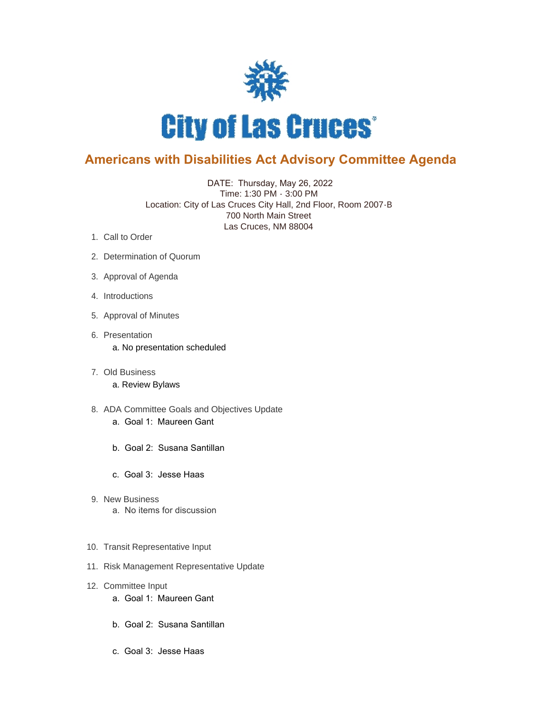

## **Americans with Disabilities Act Advisory Committee Agenda**

 DATE: Thursday, May 26, 2022 Time: 1:30 PM - 3:00 PM Location: City of Las Cruces City Hall, 2nd Floor, Room 2007-B 700 North Main Street Las Cruces, NM 88004

- 1. Call to Order
- 2. Determination of Quorum
- 3. Approval of Agenda
- 4. Introductions
- 5. Approval of Minutes
- 6. Presentation a. No presentation scheduled
- Old Business 7. a. Review Bylaws
- 8. ADA Committee Goals and Objectives Update a. Goal 1: Maureen Gant
	- b. Goal 2: Susana Santillan
	- c. Goal 3: Jesse Haas
- 9. New Business a. No items for discussion
- 10. Transit Representative Input
- 11. Risk Management Representative Update
- 12. Committee Input
	- a. Goal 1: Maureen Gant
	- b. Goal 2: Susana Santillan
	- c. Goal 3: Jesse Haas